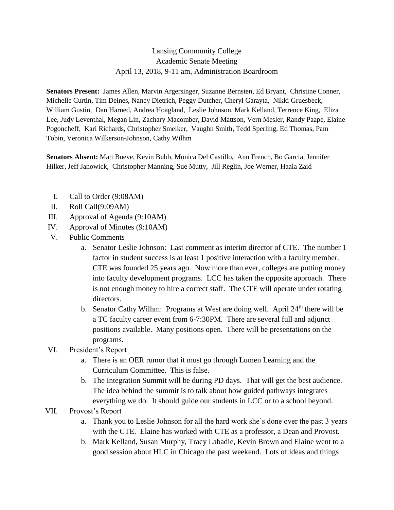## Lansing Community College Academic Senate Meeting April 13, 2018, 9-11 am, Administration Boardroom

**Senators Present:** James Allen, Marvin Argersinger, Suzanne Bernsten, Ed Bryant, Christine Conner, Michelle Curtin, Tim Deines, Nancy Dietrich, Peggy Dutcher, Cheryl Garayta, Nikki Gruesbeck, William Gustin, Dan Harned, Andrea Hoagland, Leslie Johnson, Mark Kelland, Terrence King, Eliza Lee, Judy Leventhal, Megan Lin, Zachary Macomber, David Mattson, Vern Mesler, Randy Paape, Elaine Pogoncheff, Kari Richards, Christopher Smelker, Vaughn Smith, Tedd Sperling, Ed Thomas, Pam Tobin, Veronica Wilkerson-Johnson, Cathy Wilhm

**Senators Absent:** Matt Boeve, Kevin Bubb, Monica Del Castillo, Ann French, Bo Garcia, Jennifer Hilker, Jeff Janowick, Christopher Manning, Sue Mutty, Jill Reglin, Joe Werner, Haala Zaid

- I. Call to Order (9:08AM)
- II. Roll Call(9:09AM)
- III. Approval of Agenda (9:10AM)
- IV. Approval of Minutes (9:10AM)
- V. Public Comments
	- a. Senator Leslie Johnson: Last comment as interim director of CTE. The number 1 factor in student success is at least 1 positive interaction with a faculty member. CTE was founded 25 years ago. Now more than ever, colleges are putting money into faculty development programs. LCC has taken the opposite approach. There is not enough money to hire a correct staff. The CTE will operate under rotating directors.
	- b. Senator Cathy Wilhm: Programs at West are doing well. April 24<sup>th</sup> there will be a TC faculty career event from 6-7:30PM. There are several full and adjunct positions available. Many positions open. There will be presentations on the programs.
- VI. President's Report
	- a. There is an OER rumor that it must go through Lumen Learning and the Curriculum Committee. This is false.
	- b. The Integration Summit will be during PD days. That will get the best audience. The idea behind the summit is to talk about how guided pathways integrates everything we do. It should guide our students in LCC or to a school beyond.
- VII. Provost's Report
	- a. Thank you to Leslie Johnson for all the hard work she's done over the past 3 years with the CTE. Elaine has worked with CTE as a professor, a Dean and Provost.
	- b. Mark Kelland, Susan Murphy, Tracy Labadie, Kevin Brown and Elaine went to a good session about HLC in Chicago the past weekend. Lots of ideas and things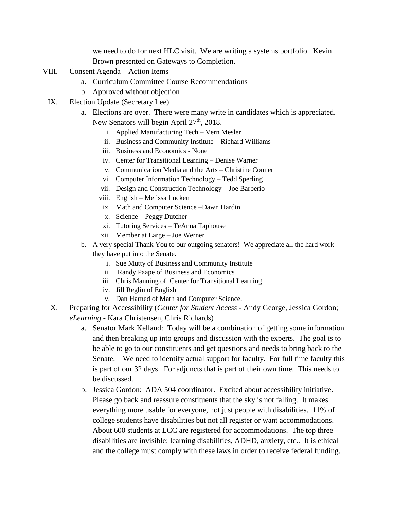we need to do for next HLC visit. We are writing a systems portfolio. Kevin Brown presented on Gateways to Completion.

- VIII. Consent Agenda Action Items
	- a. Curriculum Committee Course Recommendations
	- b. Approved without objection
- IX. Election Update (Secretary Lee)
	- a. Elections are over. There were many write in candidates which is appreciated. New Senators will begin April 27<sup>th</sup>, 2018.
		- i. Applied Manufacturing Tech Vern Mesler
		- ii. Business and Community Institute Richard Williams
		- iii. Business and Economics None
		- iv. Center for Transitional Learning Denise Warner
		- v. Communication Media and the Arts Christine Conner
		- vi. Computer Information Technology Tedd Sperling
		- vii. Design and Construction Technology Joe Barberio
		- viii. English Melissa Lucken
		- ix. Math and Computer Science –Dawn Hardin
		- x. Science Peggy Dutcher
		- xi. Tutoring Services TeAnna Taphouse
		- xii. Member at Large Joe Werner
	- b. A very special Thank You to our outgoing senators! We appreciate all the hard work they have put into the Senate.
		- i. Sue Mutty of Business and Community Institute
		- ii. Randy Paape of Business and Economics
		- iii. Chris Manning of Center for Transitional Learning
		- iv. Jill Reglin of English
		- v. Dan Harned of Math and Computer Science.
- X. Preparing for Accessibility (*Center for Student Access* Andy George, Jessica Gordon; *eLearning* - Kara Christensen, Chris Richards)
	- a. Senator Mark Kelland: Today will be a combination of getting some information and then breaking up into groups and discussion with the experts. The goal is to be able to go to our constituents and get questions and needs to bring back to the Senate. We need to identify actual support for faculty. For full time faculty this is part of our 32 days. For adjuncts that is part of their own time. This needs to be discussed.
	- b. Jessica Gordon: ADA 504 coordinator. Excited about accessibility initiative. Please go back and reassure constituents that the sky is not falling. It makes everything more usable for everyone, not just people with disabilities. 11% of college students have disabilities but not all register or want accommodations. About 600 students at LCC are registered for accommodations. The top three disabilities are invisible: learning disabilities, ADHD, anxiety, etc.. It is ethical and the college must comply with these laws in order to receive federal funding.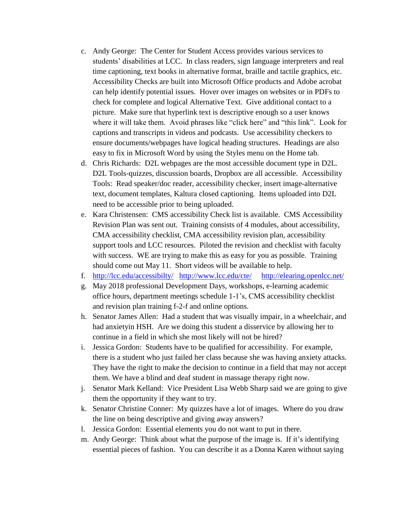- c. Andy George: The Center for Student Access provides various services to students' disabilities at LCC. In class readers, sign language interpreters and real time captioning, text books in alternative format, braille and tactile graphics, etc. Accessibility Checks are built into Microsoft Office products and Adobe acrobat can help identify potential issues. Hover over images on websites or in PDFs to check for complete and logical Alternative Text. Give additional contact to a picture. Make sure that hyperlink text is descriptive enough so a user knows where it will take them. Avoid phrases like "click here" and "this link". Look for captions and transcripts in videos and podcasts. Use accessibility checkers to ensure documents/webpages have logical heading structures. Headings are also easy to fix in Microsoft Word by using the Styles menu on the Home tab.
- d. Chris Richards: D2L webpages are the most accessible document type in D2L. D2L Tools-quizzes, discussion boards, Dropbox are all accessible. Accessibility Tools: Read speaker/doc reader, accessibility checker, insert image-alternative text, document templates, Kaltura closed captioning. Items uploaded into D2L need to be accessible prior to being uploaded.
- e. Kara Christensen: CMS accessibility Check list is available. CMS Accessibility Revision Plan was sent out. Training consists of 4 modules, about accessibility, CMA accessibility checklist, CMA accessibility revision plan, accessibility support tools and LCC resources. Piloted the revision and checklist with faculty with success. WE are trying to make this as easy for you as possible. Training should come out May 11. Short videos will be available to help.
- f. <http://lcc.edu/accessibilty/><http://www.lcc.edu/cte/><http://elearing.openlcc.net/>
- g. May 2018 professional Development Days, workshops, e-learning academic office hours, department meetings schedule 1-1's, CMS accessibility checklist and revision plan training f-2-f and online options.
- h. Senator James Allen: Had a student that was visually impair, in a wheelchair, and had anxietyin HSH. Are we doing this student a disservice by allowing her to continue in a field in which she most likely will not be hired?
- i. Jessica Gordon: Students have to be qualified for accessibility. For example, there is a student who just failed her class because she was having anxiety attacks. They have the right to make the decision to continue in a field that may not accept them. We have a blind and deaf student in massage therapy right now.
- j. Senator Mark Kelland: Vice President Lisa Webb Sharp said we are going to give them the opportunity if they want to try.
- k. Senator Christine Conner: My quizzes have a lot of images. Where do you draw the line on being descriptive and giving away answers?
- l. Jessica Gordon: Essential elements you do not want to put in there.
- m. Andy George: Think about what the purpose of the image is. If it's identifying essential pieces of fashion. You can describe it as a Donna Karen without saying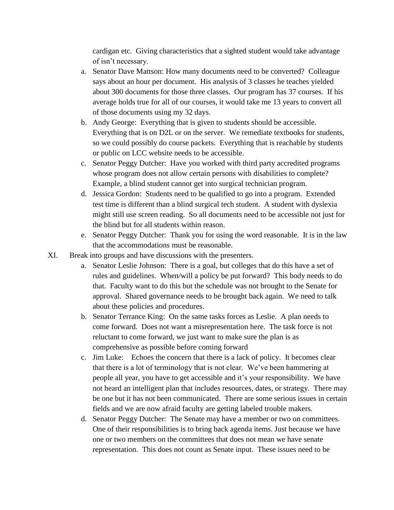cardigan etc. Giving characteristics that a sighted student would take advantage of isn't necessary.

- a. Senator Dave Mattson: How many documents need to be converted? Colleague says about an hour per document. His analysis of 3 classes he teaches yielded about 300 documents for those three classes. Our program has 37 courses. If his average holds true for all of our courses, it would take me 13 years to convert all of those documents using my 32 days.
- b. Andy George: Everything that is given to students should be accessible. Everything that is on D2L or on the server. We remediate textbooks for students, so we could possibly do course packets. Everything that is reachable by students or public on LCC website needs to be accessible.
- c. Senator Peggy Dutcher: Have you worked with third party accredited programs whose program does not allow certain persons with disabilities to complete? Example, a blind student cannot get into surgical technician program.
- d. Jessica Gordon: Students need to be qualified to go into a program. Extended test time is different than a blind surgical tech student. A student with dyslexia might still use screen reading. So all documents need to be accessible not just for the blind but for all students within reason.
- e. Senator Peggy Dutcher: Thank you for using the word reasonable. It is in the law that the accommodations must be reasonable.
- XI. Break into groups and have discussions with the presenters.
	- a. Senator Leslie Johnson: There is a goal, but colleges that do this have a set of rules and guidelines. When/will a policy be put forward? This body needs to do that. Faculty want to do this but the schedule was not brought to the Senate for approval. Shared governance needs to be brought back again. We need to talk about these policies and procedures.
	- b. Senator Terrance King: On the same tasks forces as Leslie. A plan needs to come forward. Does not want a misrepresentation here. The task force is not reluctant to come forward, we just want to make sure the plan is as comprehensive as possible before coming forward
	- c. Jim Luke: Echoes the concern that there is a lack of policy. It becomes clear that there is a lot of terminology that is not clear. We've been hammering at people all year, you have to get accessible and it's your responsibility. We have not heard an intelligent plan that includes resources, dates, or strategy. There may be one but it has not been communicated. There are some serious issues in certain fields and we are now afraid faculty are getting labeled trouble makers.
	- d. Senator Peggy Dutcher: The Senate may have a member or two on committees. One of their responsibilities is to bring back agenda items. Just because we have one or two members on the committees that does not mean we have senate representation. This does not count as Senate input. These issues need to be